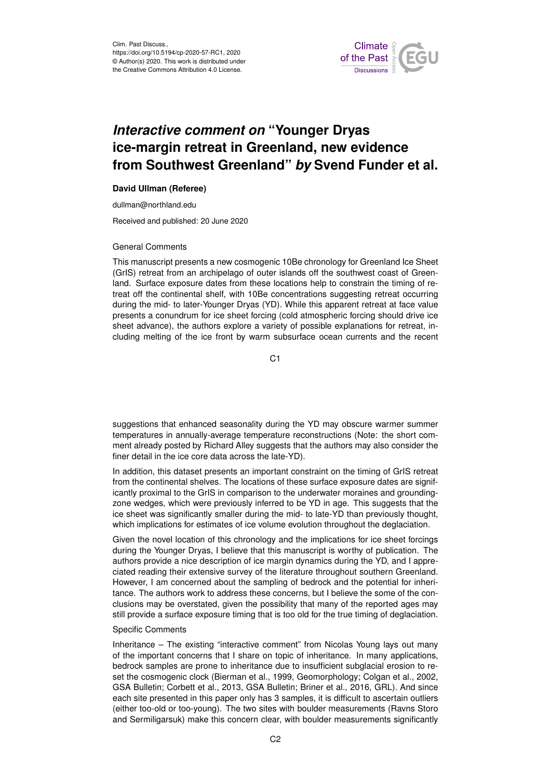

# *Interactive comment on* **"Younger Dryas ice-margin retreat in Greenland, new evidence from Southwest Greenland"** *by* **Svend Funder et al.**

# **David Ullman (Referee)**

dullman@northland.edu

Received and published: 20 June 2020

#### General Comments

This manuscript presents a new cosmogenic 10Be chronology for Greenland Ice Sheet (GrIS) retreat from an archipelago of outer islands off the southwest coast of Greenland. Surface exposure dates from these locations help to constrain the timing of retreat off the continental shelf, with 10Be concentrations suggesting retreat occurring during the mid- to later-Younger Dryas (YD). While this apparent retreat at face value presents a conundrum for ice sheet forcing (cold atmospheric forcing should drive ice sheet advance), the authors explore a variety of possible explanations for retreat, including melting of the ice front by warm subsurface ocean currents and the recent

C<sub>1</sub>

suggestions that enhanced seasonality during the YD may obscure warmer summer temperatures in annually-average temperature reconstructions (Note: the short comment already posted by Richard Alley suggests that the authors may also consider the finer detail in the ice core data across the late-YD).

In addition, this dataset presents an important constraint on the timing of GrIS retreat from the continental shelves. The locations of these surface exposure dates are significantly proximal to the GrIS in comparison to the underwater moraines and groundingzone wedges, which were previously inferred to be YD in age. This suggests that the ice sheet was significantly smaller during the mid- to late-YD than previously thought, which implications for estimates of ice volume evolution throughout the deglaciation.

Given the novel location of this chronology and the implications for ice sheet forcings during the Younger Dryas, I believe that this manuscript is worthy of publication. The authors provide a nice description of ice margin dynamics during the YD, and I appreciated reading their extensive survey of the literature throughout southern Greenland. However, I am concerned about the sampling of bedrock and the potential for inheritance. The authors work to address these concerns, but I believe the some of the conclusions may be overstated, given the possibility that many of the reported ages may still provide a surface exposure timing that is too old for the true timing of deglaciation.

## Specific Comments

Inheritance – The existing "interactive comment" from Nicolas Young lays out many of the important concerns that I share on topic of inheritance. In many applications, bedrock samples are prone to inheritance due to insufficient subglacial erosion to reset the cosmogenic clock (Bierman et al., 1999, Geomorphology; Colgan et al., 2002, GSA Bulletin; Corbett et al., 2013, GSA Bulletin; Briner et al., 2016, GRL). And since each site presented in this paper only has 3 samples, it is difficult to ascertain outliers (either too-old or too-young). The two sites with boulder measurements (Ravns Storo and Sermiligarsuk) make this concern clear, with boulder measurements significantly